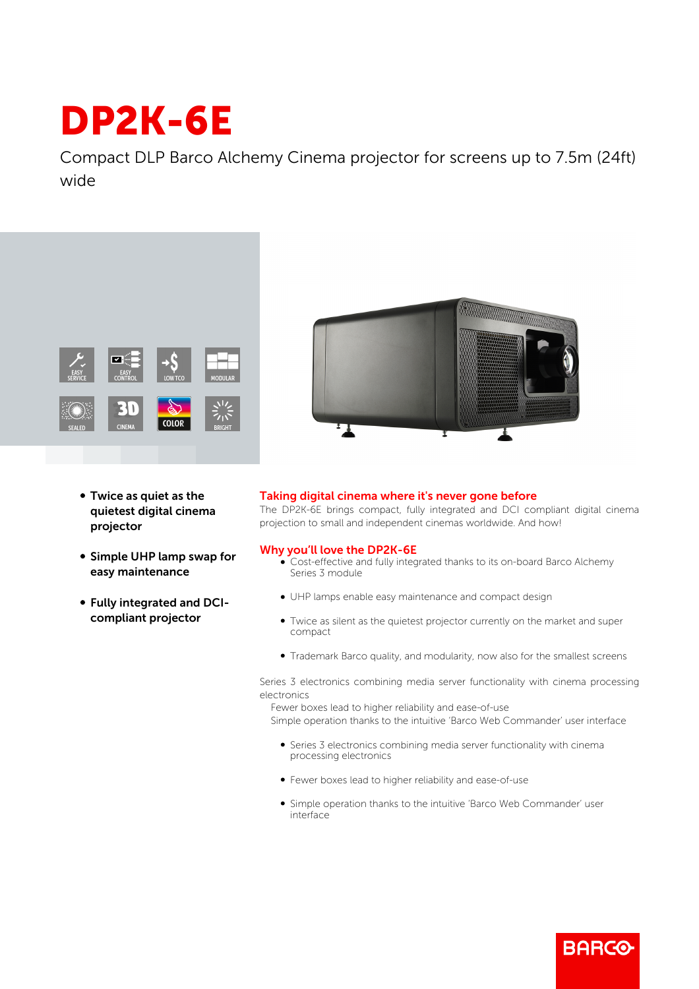## DP2K-6E

Compact DLP Barco Alchemy Cinema projector for screens up to 7.5m (24ft) wide



- Twice as quiet as the quietest digital cinema projector
- Simple UHP lamp swap for easy maintenance
- b Fully integrated and DCIcompliant projector



## Taking digital cinema where it's never gone before

The DP2K-6E brings compact, fully integrated and DCI compliant digital cinema projection to small and independent cinemas worldwide. And how!

## Why you'll love the DP2K-6E

- Cost-effective and fully integrated thanks to its on-board Barco Alchemy Series 3 module
- b UHP lamps enable easy maintenance and compact design
- Twice as silent as the quietest projector currently on the market and super compact
- Trademark Barco quality, and modularity, now also for the smallest screens

Series 3 electronics combining media server functionality with cinema processing electronics

 Fewer boxes lead to higher reliability and ease-of-use Simple operation thanks to the intuitive 'Barco Web Commander' user interface

- b Series 3 electronics combining media server functionality with cinema processing electronics
- b Fewer boxes lead to higher reliability and ease-of-use
- b Simple operation thanks to the intuitive 'Barco Web Commander' user interface